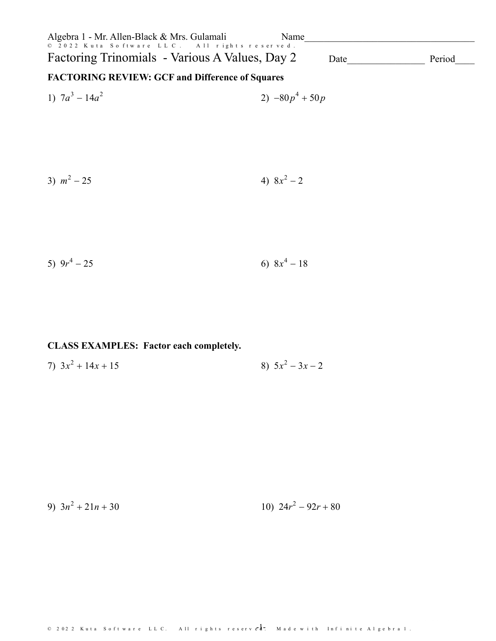| Algebra 1 - Mr. Allen-Black & Mrs. Gulamali<br>© 2022 Kuta Software LLC. All rights reserved. | Name              |        |
|-----------------------------------------------------------------------------------------------|-------------------|--------|
| Factoring Trinomials - Various A Values, Day 2                                                | Date              | Period |
| <b>FACTORING REVIEW: GCF and Difference of Squares</b>                                        |                   |        |
| 1) $7a^3 - 14a^2$                                                                             | 2) $-80p^4 + 50p$ |        |
|                                                                                               |                   |        |
|                                                                                               |                   |        |
|                                                                                               |                   |        |
| 3) $m^2 - 25$                                                                                 | 4) $8x^2-2$       |        |
|                                                                                               |                   |        |
|                                                                                               |                   |        |
|                                                                                               |                   |        |

5) 
$$
9r^4 - 25
$$
 6)  $8x^4 - 18$ 

## CLASS EXAMPLES: Factor each completely.

7)  $3x^2 + 14x + 15$ 8)  $5x^2 - 3x - 2$ 

9)  $3n^2 + 21n + 30$ 10)  $24r^2 - 92r + 80$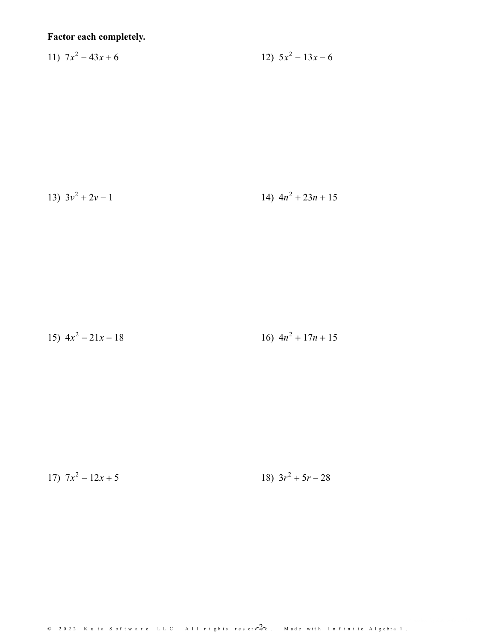## Factor each completely.

$$
11) \ \ 7x^2 - 43x + 6 \ \ 12) \ \ 5x^2 - 13x - 6
$$

13) 
$$
3v^2 + 2v - 1
$$
 14)  $4n^2 + 23n + 15$ 

15) 
$$
4x^2 - 21x - 18
$$
  
16)  $4n^2 + 17n + 15$ 

17) 
$$
7x^2 - 12x + 5
$$
  
18)  $3r^2 + 5r - 28$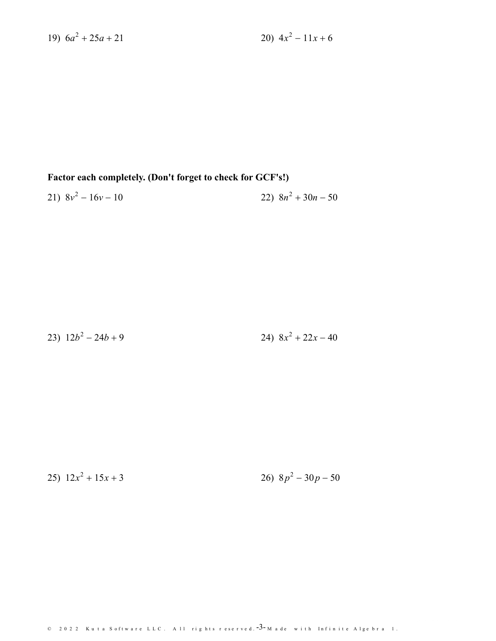19)  $6a^2 + 25a + 21$ 

## Factor each completely. (Don't forget to check for GCF's!)

$$
21) \ 8v^2 - 16v - 10 \qquad \qquad 22) \ 8n^2 + 30n - 50
$$

23)  $12b^2 - 24b + 9$ 24)  $8x^2 + 22x - 40$ 

25)  $12x^2 + 15x + 3$ 

26)  $8p^2 - 30p - 50$